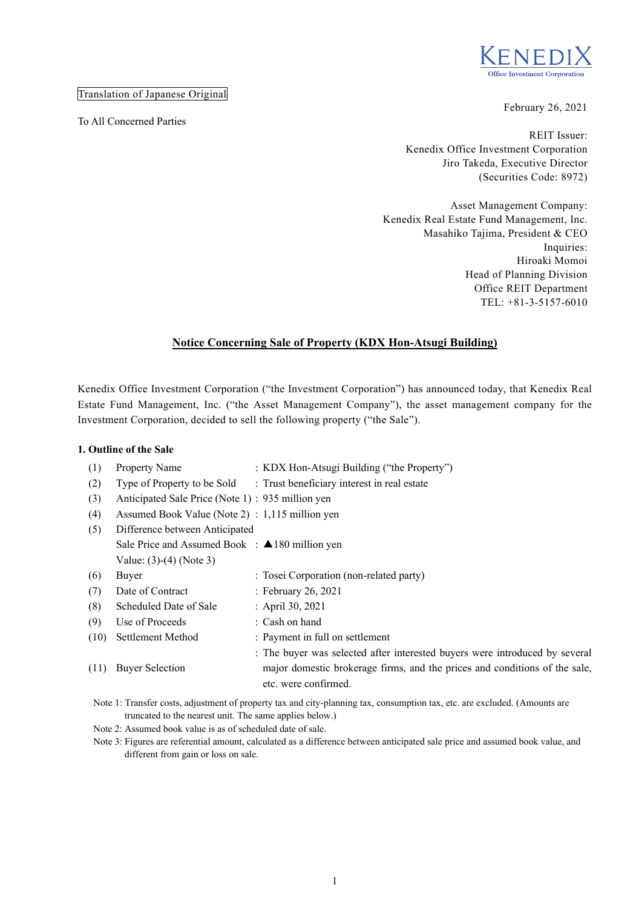

Translation of Japanese Original

To All Concerned Parties

February 26, 2021

REIT Issuer: Kenedix Office Investment Corporation Jiro Takeda, Executive Director (Securities Code: 8972)

Asset Management Company: Kenedix Real Estate Fund Management, Inc. Masahiko Tajima, President & CEO Inquiries: Hiroaki Momoi Head of Planning Division Office REIT Department TEL: +81-3-5157-6010

# **Notice Concerning Sale of Property (KDX Hon-Atsugi Building)**

Kenedix Office Investment Corporation ("the Investment Corporation") has announced today, that Kenedix Real Estate Fund Management, Inc. ("the Asset Management Company"), the asset management company for the Investment Corporation, decided to sell the following property ("the Sale").

#### **1. Outline of the Sale**

| (1)<br>(2) | Property Name<br>Type of Property to be Sold              | : KDX Hon-Atsugi Building ("the Property")<br>: Trust beneficiary interest in real estate                                                                                         |
|------------|-----------------------------------------------------------|-----------------------------------------------------------------------------------------------------------------------------------------------------------------------------------|
| (3)        | Anticipated Sale Price (Note 1) : 935 million yen         |                                                                                                                                                                                   |
| (4)        | Assumed Book Value (Note 2) : 1,115 million yen           |                                                                                                                                                                                   |
| (5)        | Difference between Anticipated                            |                                                                                                                                                                                   |
|            | Sale Price and Assumed Book : $\triangle$ 180 million yen |                                                                                                                                                                                   |
|            | Value: $(3)-(4)$ (Note 3)                                 |                                                                                                                                                                                   |
| (6)        | Buyer                                                     | : Tosei Corporation (non-related party)                                                                                                                                           |
| (7)        | Date of Contract                                          | : February 26, 2021                                                                                                                                                               |
| (8)        | Scheduled Date of Sale                                    | : April 30, 2021                                                                                                                                                                  |
| (9)        | Use of Proceeds                                           | : Cash on hand                                                                                                                                                                    |
| (10)       | Settlement Method                                         | : Payment in full on settlement                                                                                                                                                   |
| (11)       | <b>Buyer Selection</b>                                    | : The buyer was selected after interested buyers were introduced by several<br>major domestic brokerage firms, and the prices and conditions of the sale,<br>etc. were confirmed. |

Note 1: Transfer costs, adjustment of property tax and city-planning tax, consumption tax, etc. are excluded. (Amounts are truncated to the nearest unit. The same applies below.)

Note 2: Assumed book value is as of scheduled date of sale.

Note 3: Figures are referential amount, calculated as a difference between anticipated sale price and assumed book value, and different from gain or loss on sale.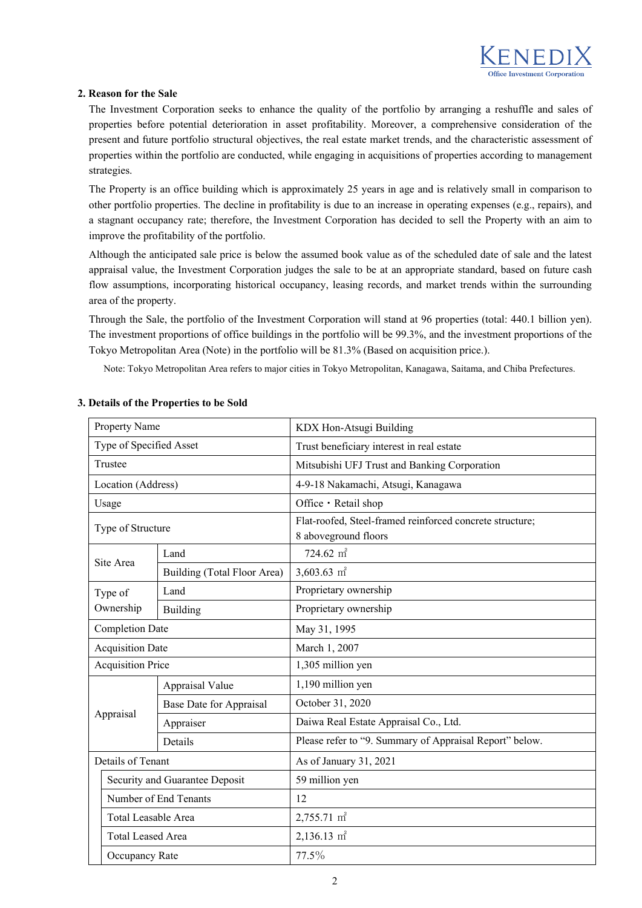

## **2. Reason for the Sale**

The Investment Corporation seeks to enhance the quality of the portfolio by arranging a reshuffle and sales of properties before potential deterioration in asset profitability. Moreover, a comprehensive consideration of the present and future portfolio structural objectives, the real estate market trends, and the characteristic assessment of properties within the portfolio are conducted, while engaging in acquisitions of properties according to management strategies.

The Property is an office building which is approximately 25 years in age and is relatively small in comparison to other portfolio properties. The decline in profitability is due to an increase in operating expenses (e.g., repairs), and a stagnant occupancy rate; therefore, the Investment Corporation has decided to sell the Property with an aim to improve the profitability of the portfolio.

Although the anticipated sale price is below the assumed book value as of the scheduled date of sale and the latest appraisal value, the Investment Corporation judges the sale to be at an appropriate standard, based on future cash flow assumptions, incorporating historical occupancy, leasing records, and market trends within the surrounding area of the property.

Through the Sale, the portfolio of the Investment Corporation will stand at 96 properties (total: 440.1 billion yen). The investment proportions of office buildings in the portfolio will be 99.3%, and the investment proportions of the Tokyo Metropolitan Area (Note) in the portfolio will be 81.3% (Based on acquisition price.).

Note: Tokyo Metropolitan Area refers to major cities in Tokyo Metropolitan, Kanagawa, Saitama, and Chiba Prefectures.

| Property Name           |                                                     |                             | KDX Hon-Atsugi Building                                                          |  |  |  |
|-------------------------|-----------------------------------------------------|-----------------------------|----------------------------------------------------------------------------------|--|--|--|
| Type of Specified Asset |                                                     |                             | Trust beneficiary interest in real estate                                        |  |  |  |
|                         | Trustee                                             |                             | Mitsubishi UFJ Trust and Banking Corporation                                     |  |  |  |
|                         | Location (Address)                                  |                             | 4-9-18 Nakamachi, Atsugi, Kanagawa                                               |  |  |  |
|                         | Usage                                               |                             | Office · Retail shop                                                             |  |  |  |
| Type of Structure       |                                                     |                             | Flat-roofed, Steel-framed reinforced concrete structure;<br>8 aboveground floors |  |  |  |
|                         |                                                     | Land                        | 724.62 m <sup>2</sup>                                                            |  |  |  |
|                         | Site Area                                           | Building (Total Floor Area) | 3,603.63 $m2$                                                                    |  |  |  |
|                         | Type of                                             | Land                        | Proprietary ownership                                                            |  |  |  |
|                         | Ownership                                           | Building                    | Proprietary ownership                                                            |  |  |  |
| <b>Completion Date</b>  |                                                     |                             | May 31, 1995                                                                     |  |  |  |
|                         | <b>Acquisition Date</b>                             |                             | March 1, 2007                                                                    |  |  |  |
|                         | <b>Acquisition Price</b>                            |                             | 1,305 million yen                                                                |  |  |  |
|                         | Appraisal Value                                     |                             | 1,190 million yen                                                                |  |  |  |
|                         |                                                     | Base Date for Appraisal     | October 31, 2020                                                                 |  |  |  |
|                         | Appraisal                                           | Appraiser                   | Daiwa Real Estate Appraisal Co., Ltd.                                            |  |  |  |
|                         |                                                     | Details                     | Please refer to "9. Summary of Appraisal Report" below.                          |  |  |  |
|                         | Details of Tenant                                   |                             | As of January 31, 2021                                                           |  |  |  |
|                         | Security and Guarantee Deposit                      |                             | 59 million yen                                                                   |  |  |  |
|                         | Number of End Tenants<br><b>Total Leasable Area</b> |                             | 12                                                                               |  |  |  |
|                         |                                                     |                             | 2,755.71 m <sup>2</sup>                                                          |  |  |  |
|                         | <b>Total Leased Area</b>                            |                             | $2,136.13$ m <sup>2</sup>                                                        |  |  |  |
|                         | Occupancy Rate                                      |                             | 77.5%                                                                            |  |  |  |

## **3. Details of the Properties to be Sold**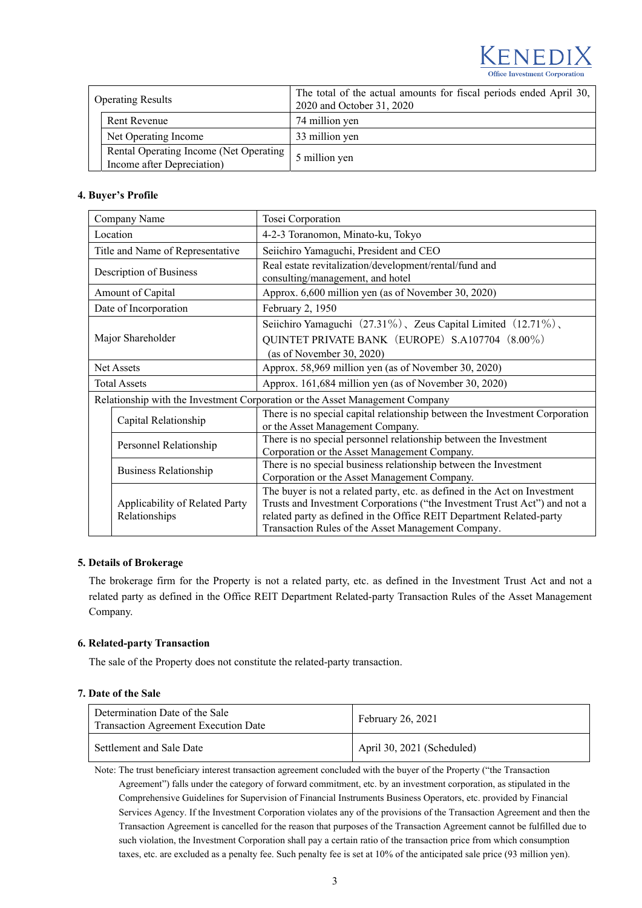

| <b>Operating Results</b>                                             | The total of the actual amounts for fiscal periods ended April 30,<br>2020 and October 31, 2020 |  |  |  |
|----------------------------------------------------------------------|-------------------------------------------------------------------------------------------------|--|--|--|
| Rent Revenue                                                         | 74 million yen                                                                                  |  |  |  |
| Net Operating Income                                                 | 33 million yen                                                                                  |  |  |  |
| Rental Operating Income (Net Operating<br>Income after Depreciation) | 5 million yen                                                                                   |  |  |  |

## **4. Buyer's Profile**

| Company Name            |                                                 | Tosei Corporation                                                                                                                                                                                                                                                                     |  |  |
|-------------------------|-------------------------------------------------|---------------------------------------------------------------------------------------------------------------------------------------------------------------------------------------------------------------------------------------------------------------------------------------|--|--|
| Location                |                                                 | 4-2-3 Toranomon, Minato-ku, Tokyo                                                                                                                                                                                                                                                     |  |  |
|                         | Title and Name of Representative                | Seiichiro Yamaguchi, President and CEO                                                                                                                                                                                                                                                |  |  |
| Description of Business |                                                 | Real estate revitalization/development/rental/fund and<br>consulting/management, and hotel                                                                                                                                                                                            |  |  |
|                         | Amount of Capital                               | Approx. 6,600 million yen (as of November 30, 2020)                                                                                                                                                                                                                                   |  |  |
|                         | Date of Incorporation                           | February 2, 1950                                                                                                                                                                                                                                                                      |  |  |
| Major Shareholder       |                                                 | Seiichiro Yamaguchi (27.31%), Zeus Capital Limited (12.71%),<br>QUINTET PRIVATE BANK (EUROPE) S.A107704 (8.00%)<br>(as of November 30, 2020)                                                                                                                                          |  |  |
| <b>Net Assets</b>       |                                                 | Approx. 58,969 million yen (as of November 30, 2020)                                                                                                                                                                                                                                  |  |  |
| <b>Total Assets</b>     |                                                 | Approx. 161,684 million yen (as of November 30, 2020)                                                                                                                                                                                                                                 |  |  |
|                         |                                                 | Relationship with the Investment Corporation or the Asset Management Company                                                                                                                                                                                                          |  |  |
|                         | Capital Relationship                            | There is no special capital relationship between the Investment Corporation<br>or the Asset Management Company.                                                                                                                                                                       |  |  |
|                         | Personnel Relationship                          | There is no special personnel relationship between the Investment<br>Corporation or the Asset Management Company.                                                                                                                                                                     |  |  |
|                         | Business Relationship                           | There is no special business relationship between the Investment<br>Corporation or the Asset Management Company.                                                                                                                                                                      |  |  |
|                         | Applicability of Related Party<br>Relationships | The buyer is not a related party, etc. as defined in the Act on Investment<br>Trusts and Investment Corporations ("the Investment Trust Act") and not a<br>related party as defined in the Office REIT Department Related-party<br>Transaction Rules of the Asset Management Company. |  |  |

#### **5. Details of Brokerage**

The brokerage firm for the Property is not a related party, etc. as defined in the Investment Trust Act and not a related party as defined in the Office REIT Department Related-party Transaction Rules of the Asset Management Company.

#### **6. Related-party Transaction**

The sale of the Property does not constitute the related-party transaction.

#### **7. Date of the Sale**

| Determination Date of the Sale<br><b>Transaction Agreement Execution Date</b> | February 26, 2021          |  |
|-------------------------------------------------------------------------------|----------------------------|--|
| Settlement and Sale Date                                                      | April 30, 2021 (Scheduled) |  |

Note: The trust beneficiary interest transaction agreement concluded with the buyer of the Property ("the Transaction Agreement") falls under the category of forward commitment, etc. by an investment corporation, as stipulated in the Comprehensive Guidelines for Supervision of Financial Instruments Business Operators, etc. provided by Financial Services Agency. If the Investment Corporation violates any of the provisions of the Transaction Agreement and then the Transaction Agreement is cancelled for the reason that purposes of the Transaction Agreement cannot be fulfilled due to such violation, the Investment Corporation shall pay a certain ratio of the transaction price from which consumption taxes, etc. are excluded as a penalty fee. Such penalty fee is set at 10% of the anticipated sale price (93 million yen).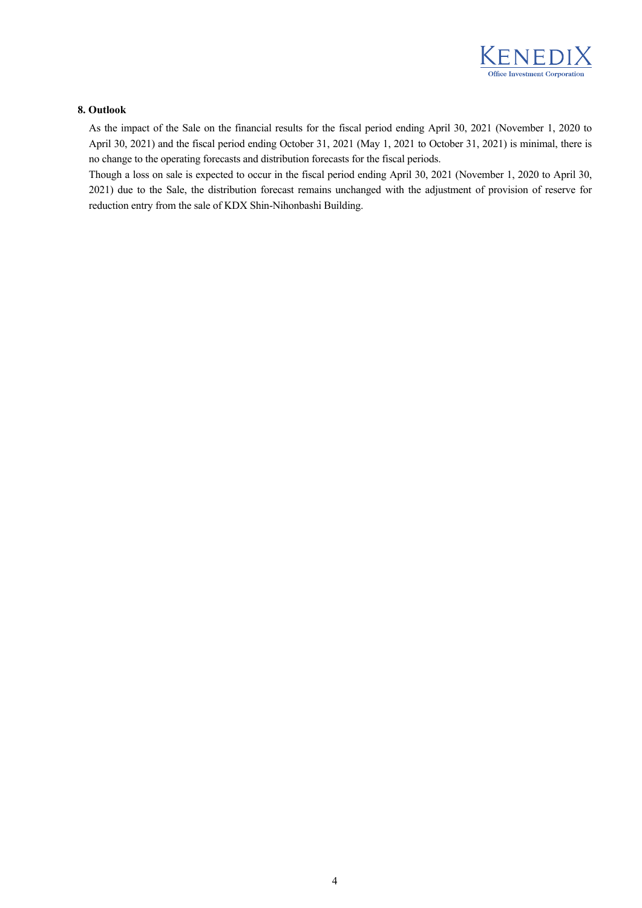

#### **8. Outlook**

As the impact of the Sale on the financial results for the fiscal period ending April 30, 2021 (November 1, 2020 to April 30, 2021) and the fiscal period ending October 31, 2021 (May 1, 2021 to October 31, 2021) is minimal, there is no change to the operating forecasts and distribution forecasts for the fiscal periods.

Though a loss on sale is expected to occur in the fiscal period ending April 30, 2021 (November 1, 2020 to April 30, 2021) due to the Sale, the distribution forecast remains unchanged with the adjustment of provision of reserve for reduction entry from the sale of KDX Shin-Nihonbashi Building.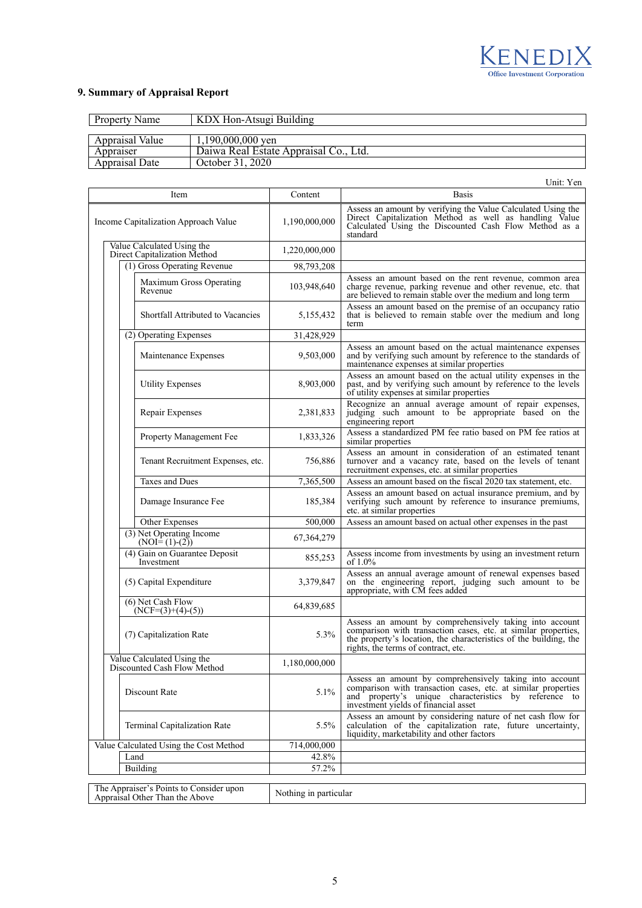

# **9. Summary of Appraisal Report**

| Property Name   | KDX Hon-Atsugi Building               |
|-----------------|---------------------------------------|
|                 |                                       |
| Appraisal Value | $1.190,000,000$ ven                   |
| Appraiser       | Daiwa Real Estate Appraisal Co., Ltd. |
| Appraisal Date  | October 31, 2020                      |

| Unit: Yen                                                                                          |               |                                                                                                                                                                                                                                       |  |  |
|----------------------------------------------------------------------------------------------------|---------------|---------------------------------------------------------------------------------------------------------------------------------------------------------------------------------------------------------------------------------------|--|--|
| Item                                                                                               | Content       | <b>Basis</b>                                                                                                                                                                                                                          |  |  |
| Income Capitalization Approach Value                                                               | 1,190,000,000 | Assess an amount by verifying the Value Calculated Using the<br>Direct Capitalization Method as well as handling Value<br>Calculated Using the Discounted Cash Flow Method as a<br>standard                                           |  |  |
| Value Calculated Using the<br>Direct Capitalization Method                                         | 1,220,000,000 |                                                                                                                                                                                                                                       |  |  |
| (1) Gross Operating Revenue                                                                        | 98,793,208    |                                                                                                                                                                                                                                       |  |  |
| Maximum Gross Operating<br>Revenue                                                                 | 103,948,640   | Assess an amount based on the rent revenue, common area<br>charge revenue, parking revenue and other revenue, etc. that<br>are believed to remain stable over the medium and long term                                                |  |  |
| Shortfall Attributed to Vacancies                                                                  | 5,155,432     | Assess an amount based on the premise of an occupancy ratio<br>that is believed to remain stable over the medium and long<br>term                                                                                                     |  |  |
| (2) Operating Expenses                                                                             | 31,428,929    |                                                                                                                                                                                                                                       |  |  |
| Maintenance Expenses                                                                               | 9,503,000     | Assess an amount based on the actual maintenance expenses<br>and by verifying such amount by reference to the standards of<br>maintenance expenses at similar properties                                                              |  |  |
| <b>Utility Expenses</b>                                                                            | 8,903,000     | Assess an amount based on the actual utility expenses in the<br>past, and by verifying such amount by reference to the levels<br>of utility expenses at similar properties                                                            |  |  |
| Repair Expenses                                                                                    | 2,381,833     | Recognize an annual average amount of repair expenses,<br>judging such amount to be appropriate based on the<br>engineering report                                                                                                    |  |  |
| Property Management Fee                                                                            | 1,833,326     | Assess a standardized PM fee ratio based on PM fee ratios at<br>similar properties                                                                                                                                                    |  |  |
| Tenant Recruitment Expenses, etc.                                                                  | 756,886       | Assess an amount in consideration of an estimated tenant<br>turnover and a vacancy rate, based on the levels of tenant<br>recruitment expenses, etc. at similar properties                                                            |  |  |
| <b>Taxes and Dues</b>                                                                              | 7,365,500     | Assess an amount based on the fiscal 2020 tax statement, etc.                                                                                                                                                                         |  |  |
| Damage Insurance Fee                                                                               | 185,384       | Assess an amount based on actual insurance premium, and by<br>verifying such amount by reference to insurance premiums,<br>etc. at similar properties                                                                                 |  |  |
| Other Expenses                                                                                     | 500,000       | Assess an amount based on actual other expenses in the past                                                                                                                                                                           |  |  |
| (3) Net Operating Income<br>$(NOI=(1)-(2))$                                                        | 67, 364, 279  |                                                                                                                                                                                                                                       |  |  |
| (4) Gain on Guarantee Deposit<br>Investment                                                        | 855,253       | Assess income from investments by using an investment return<br>of $1.0\%$                                                                                                                                                            |  |  |
| (5) Capital Expenditure                                                                            | 3,379,847     | Assess an annual average amount of renewal expenses based<br>on the engineering report, judging such amount to be<br>appropriate, with CM fees added                                                                                  |  |  |
| (6) Net Cash Flow<br>$(NCF=(3)+(4)-(5))$                                                           | 64,839,685    |                                                                                                                                                                                                                                       |  |  |
| (7) Capitalization Rate                                                                            | 5.3%          | Assess an amount by comprehensively taking into account<br>comparison with transaction cases, etc. at similar properties,<br>the property's location, the characteristics of the building, the<br>rights, the terms of contract, etc. |  |  |
| Value Calculated Using the<br>Discounted Cash Flow Method                                          | 1,180,000,000 |                                                                                                                                                                                                                                       |  |  |
| Discount Rate                                                                                      | 5.1%          | Assess an amount by comprehensively taking into account<br>comparison with transaction cases, etc. at similar properties<br>and property's unique characteristics by reference to<br>investment yields of financial asset             |  |  |
| Terminal Capitalization Rate                                                                       | 5.5%          | Assess an amount by considering nature of net cash flow for<br>calculation of the capitalization rate, future uncertainty,<br>liquidity, marketability and other factors                                                              |  |  |
| Value Calculated Using the Cost Method                                                             | 714,000,000   |                                                                                                                                                                                                                                       |  |  |
| Land                                                                                               | 42.8%         |                                                                                                                                                                                                                                       |  |  |
| Building                                                                                           | 57.2%         |                                                                                                                                                                                                                                       |  |  |
| The Appraiser's Points to Consider upon<br>Nothing in particular<br>Appraisal Other Than the Above |               |                                                                                                                                                                                                                                       |  |  |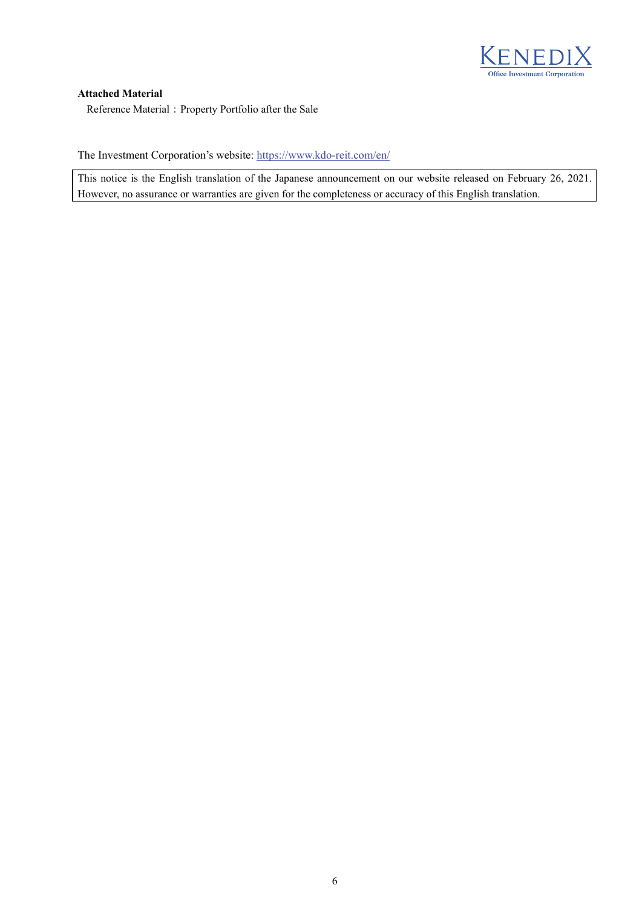

#### **Attached Material**

Reference Material: Property Portfolio after the Sale

The Investment Corporation's website: https://www.kdo-reit.com/en/

This notice is the English translation of the Japanese announcement on our website released on February 26, 2021. However, no assurance or warranties are given for the completeness or accuracy of this English translation.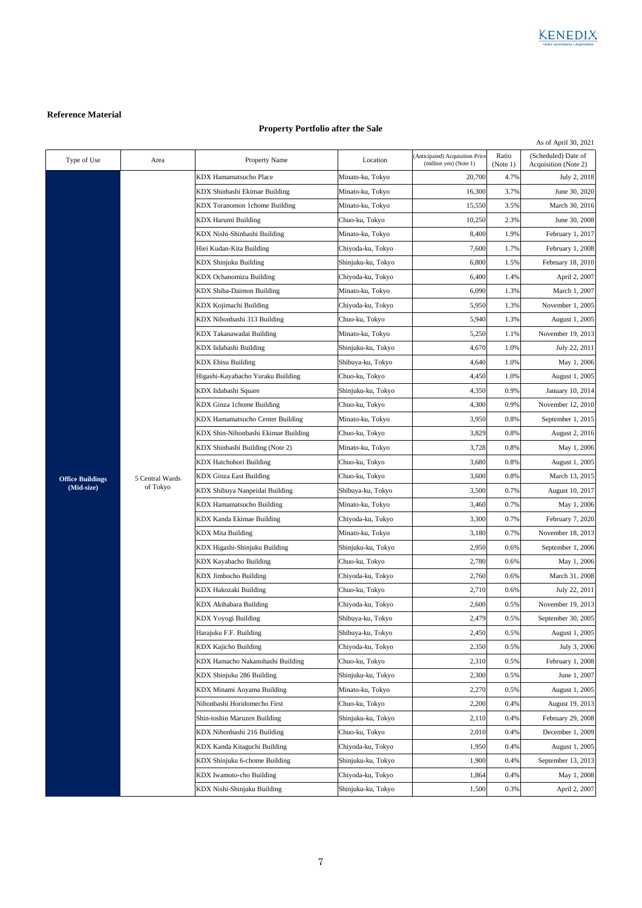

# **Reference Material**

## **Property Portfolio after the Sale**

|                         |                             |                                     |                    |                                                           |                   | As of April 30, 2021                        |
|-------------------------|-----------------------------|-------------------------------------|--------------------|-----------------------------------------------------------|-------------------|---------------------------------------------|
| Type of Use             | Area                        | Property Name                       | Location           | (Anticipated) Acquisition Price<br>(million yen) (Note 1) | Ratio<br>(Note 1) | (Scheduled) Date of<br>Acquisition (Note 2) |
|                         |                             | KDX Hamamatsucho Place              | Minato-ku, Tokyo   | 20,700                                                    | 4.7%              | July 2, 2018                                |
|                         |                             | KDX Shinbashi Ekimae Building       | Minato-ku, Tokyo   | 16,300                                                    | 3.7%              | June 30, 2020                               |
|                         |                             | KDX Toranomon 1chome Building       | Minato-ku, Tokyo   | 15,550                                                    | 3.5%              | March 30, 2016                              |
|                         |                             | <b>KDX Harumi Building</b>          | Chuo-ku, Tokyo     | 10,250                                                    | 2.3%              | June 30, 2008                               |
|                         |                             | KDX Nishi-Shinbashi Building        | Minato-ku, Tokyo   | 8,400                                                     | 1.9%              | February 1, 2017                            |
|                         |                             | Hiei Kudan-Kita Building            | Chiyoda-ku, Tokyo  | 7,600                                                     | 1.7%              | February 1, 2008                            |
|                         |                             | <b>KDX Shinjuku Building</b>        | Shinjuku-ku, Tokyo | 6,800                                                     | 1.5%              | February 18, 2010                           |
|                         |                             | KDX Ochanomizu Building             | Chiyoda-ku, Tokyo  | 6,400                                                     | 1.4%              | April 2, 2007                               |
|                         |                             | KDX Shiba-Daimon Building           | Minato-ku, Tokyo   | 6,090                                                     | 1.3%              | March 1, 2007                               |
|                         |                             | KDX Kojimachi Building              | Chiyoda-ku, Tokyo  | 5,950                                                     | 1.3%              | November 1, 2005                            |
|                         |                             | KDX Nihonbashi 313 Building         | Chuo-ku, Tokyo     | 5,940                                                     | 1.3%              | August 1, 2005                              |
|                         |                             | KDX Takanawadai Building            | Minato-ku, Tokyo   | 5,250                                                     | 1.1%              | November 19, 2013                           |
|                         |                             | KDX Iidabashi Building              | Shinjuku-ku, Tokyo | 4,670                                                     | 1.0%              | July 22, 2011                               |
|                         |                             | <b>KDX</b> Ebisu Building           | Shibuya-ku, Tokyo  | 4,640                                                     | 1.0%              | May 1, 2006                                 |
|                         |                             | Higashi-Kayabacho Yuraku Building   | Chuo-ku, Tokyo     | 4,450                                                     | 1.0%              | August 1, 2005                              |
|                         |                             | KDX Iidabashi Square                | Shinjuku-ku, Tokyo | 4,350                                                     | 0.9%              | January 10, 2014                            |
|                         |                             | KDX Ginza 1chome Building           | Chuo-ku, Tokyo     | 4,300                                                     | 0.9%              | November 12, 2010                           |
|                         |                             | KDX Hamamatsucho Center Building    | Minato-ku, Tokyo   | 3,950                                                     | 0.8%              | September 1, 2015                           |
|                         |                             | KDX Shin-Nihonbashi Ekimae Building | Chuo-ku, Tokyo     | 3,829                                                     | 0.8%              | August 2, 2016                              |
|                         | 5 Central Wards<br>of Tokyo | KDX Shinbashi Building (Note 2)     | Minato-ku, Tokyo   | 3,728                                                     | 0.8%              | May 1, 2006                                 |
|                         |                             | KDX Hatchobori Building             | Chuo-ku, Tokyo     | 3,680                                                     | 0.8%              | August 1, 2005                              |
| <b>Office Buildings</b> |                             | <b>KDX Ginza East Building</b>      | Chuo-ku, Tokyo     | 3,600                                                     | 0.8%              | March 13, 2015                              |
| (Mid-size)              |                             | KDX Shibuya Nanpeidai Building      | Shibuya-ku, Tokyo  | 3,500                                                     | 0.7%              | August 10, 2017                             |
|                         |                             | KDX Hamamatsucho Building           | Minato-ku, Tokyo   | 3,460                                                     | 0.7%              | May 1, 2006                                 |
|                         |                             | KDX Kanda Ekimae Building           | Chiyoda-ku, Tokyo  | 3,300                                                     | 0.7%              | February 7, 2020                            |
|                         |                             | <b>KDX</b> Mita Building            | Minato-ku, Tokyo   | 3,180                                                     | 0.7%              | November 18, 2013                           |
|                         |                             | KDX Higashi-Shinjuku Building       | Shinjuku-ku, Tokyo | 2,950                                                     | 0.6%              | September 1, 2006                           |
|                         |                             | KDX Kayabacho Building              | Chuo-ku, Tokyo     | 2,780                                                     | 0.6%              | May 1, 2006                                 |
|                         |                             | <b>KDX</b> Jimbocho Building        | Chiyoda-ku, Tokyo  | 2,760                                                     | 0.6%              | March 31, 2008                              |
|                         |                             | KDX Hakozaki Building               | Chuo-ku, Tokyo     | 2,710                                                     | 0.6%              | July 22, 2011                               |
|                         |                             | KDX Akihabara Building              | Chiyoda-ku, Tokyo  | 2,600                                                     | 0.5%              | November 19, 2013                           |
|                         |                             | KDX Yoyogi Building                 | Shibuya-ku, Tokyo  | 2,479                                                     | 0.5%              | September 30, 2005                          |
|                         |                             | Harajuku F.F. Building              | Shibuya-ku, Tokyo  | 2,450                                                     | 0.5%              | August 1, 2005                              |
|                         |                             | KDX Kajicho Building                | Chiyoda-ku, Tokyo  | 2,350                                                     | 0.5%              | July 3, 2006                                |
|                         |                             | KDX Hamacho Nakanohashi Building    | Chuo-ku, Tokyo     | 2,310                                                     | 0.5%              | February 1, 2008                            |
|                         |                             | KDX Shinjuku 286 Building           | Shinjuku-ku, Tokyo | 2,300                                                     | 0.5%              | June 1, 2007                                |
|                         |                             | KDX Minami Aoyama Building          | Minato-ku, Tokyo   | 2,270                                                     | 0.5%              | August 1, 2005                              |
|                         |                             | Nihonbashi Horidomecho First        | Chuo-ku, Tokyo     | 2,200                                                     | 0.4%              | August 19, 2013                             |
|                         |                             | Shin-toshin Maruzen Building        | Shinjuku-ku, Tokyo | 2,110                                                     | 0.4%              | February 29, 2008                           |
|                         |                             | KDX Nihonbashi 216 Building         | Chuo-ku, Tokyo     | 2,010                                                     | 0.4%              | December 1, 2009                            |
|                         |                             | KDX Kanda Kitaguchi Building        | Chiyoda-ku, Tokyo  | 1,950                                                     | 0.4%              | August 1, 2005                              |
|                         |                             | KDX Shinjuku 6-chome Building       | Shinjuku-ku, Tokyo | 1,900                                                     | 0.4%              | September 13, 2013                          |
|                         |                             | KDX Iwamoto-cho Building            | Chiyoda-ku, Tokyo  | 1,864                                                     | 0.4%              | May 1, 2008                                 |
|                         |                             | KDX Nishi-Shinjuku Building         | Shinjuku-ku, Tokyo | 1,500                                                     | 0.3%              | April 2, 2007                               |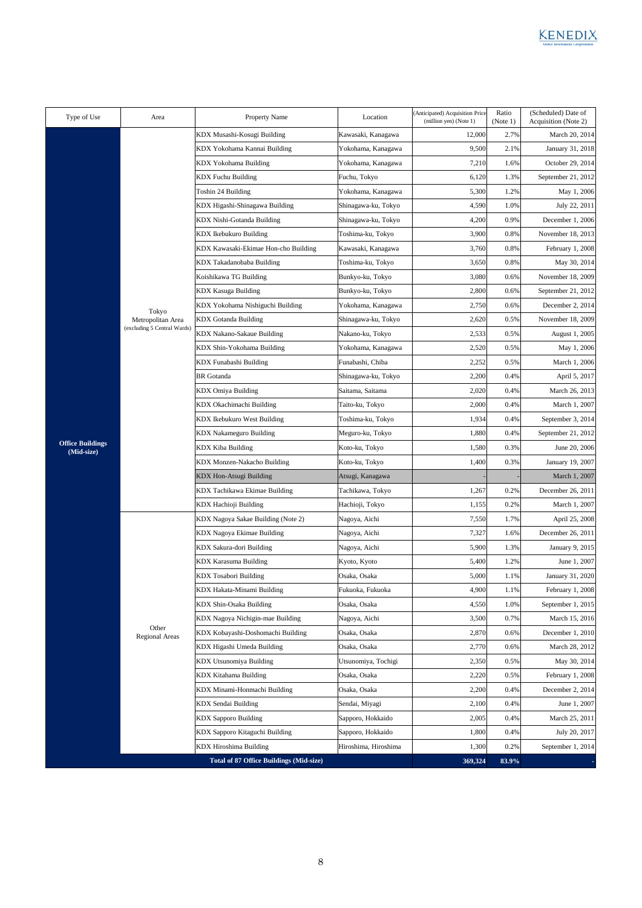| Type of Use                           | Area                        | Property Name                                  | Location             | (Anticipated) Acquisition Price<br>(million yen) (Note 1) | Ratio<br>(Note 1) | (Scheduled) Date of<br>Acquisition (Note 2) |
|---------------------------------------|-----------------------------|------------------------------------------------|----------------------|-----------------------------------------------------------|-------------------|---------------------------------------------|
|                                       |                             | KDX Musashi-Kosugi Building                    | Kawasaki, Kanagawa   | 12,000                                                    | 2.7%              | March 20, 2014                              |
|                                       |                             | KDX Yokohama Kannai Building                   | Yokohama, Kanagawa   | 9,500                                                     | 2.1%              | January 31, 2018                            |
|                                       |                             | KDX Yokohama Building                          | Yokohama, Kanagawa   | 7,210                                                     | 1.6%              | October 29, 2014                            |
|                                       |                             | <b>KDX Fuchu Building</b>                      | Fuchu, Tokyo         | 6,120                                                     | 1.3%              | September 21, 2012                          |
|                                       |                             | Toshin 24 Building                             | Yokohama, Kanagawa   | 5,300                                                     | 1.2%              | May 1, 2006                                 |
|                                       |                             | KDX Higashi-Shinagawa Building                 | Shinagawa-ku, Tokyo  | 4,590                                                     | 1.0%              | July 22, 2011                               |
|                                       |                             | KDX Nishi-Gotanda Building                     | Shinagawa-ku, Tokyo  | 4,200                                                     | 0.9%              | December 1, 2006                            |
|                                       |                             | KDX Ikebukuro Building                         | Toshima-ku, Tokyo    | 3,900                                                     | 0.8%              | November 18, 2013                           |
|                                       |                             | KDX Kawasaki-Ekimae Hon-cho Building           | Kawasaki, Kanagawa   | 3,760                                                     | 0.8%              | February 1, 2008                            |
|                                       |                             | KDX Takadanobaba Building                      | Toshima-ku, Tokyo    | 3,650                                                     | 0.8%              | May 30, 2014                                |
|                                       |                             | Koishikawa TG Building                         | Bunkyo-ku, Tokyo     | 3,080                                                     | 0.6%              | November 18, 2009                           |
|                                       |                             | <b>KDX Kasuga Building</b>                     | Bunkyo-ku, Tokyo     | 2,800                                                     | 0.6%              | September 21, 2012                          |
|                                       | Tokyo                       | KDX Yokohama Nishiguchi Building               | Yokohama, Kanagawa   | 2,750                                                     | 0.6%              | December 2, 2014                            |
|                                       | Metropolitan Area           | <b>KDX</b> Gotanda Building                    | Shinagawa-ku, Tokyo  | 2,620                                                     | 0.5%              | November 18, 2009                           |
|                                       | (excluding 5 Central Wards) | KDX Nakano-Sakaue Building                     | Nakano-ku, Tokyo     | 2,533                                                     | 0.5%              | August 1, 2005                              |
|                                       |                             | KDX Shin-Yokohama Building                     | Yokohama, Kanagawa   | 2,520                                                     | 0.5%              | May 1, 2006                                 |
|                                       |                             | KDX Funabashi Building                         | Funabashi, Chiba     | 2,252                                                     | 0.5%              | March 1, 2006                               |
|                                       |                             | <b>BR</b> Gotanda                              | Shinagawa-ku, Tokyo  | 2,200                                                     | 0.4%              | April 5, 2017                               |
|                                       |                             | KDX Omiya Building                             | Saitama, Saitama     | 2,020                                                     | 0.4%              | March 26, 2013                              |
|                                       |                             | KDX Okachimachi Building                       | Taito-ku, Tokyo      | 2,000                                                     | 0.4%              | March 1, 2007                               |
|                                       |                             | KDX Ikebukuro West Building                    | Toshima-ku, Tokyo    | 1,934                                                     | 0.4%              | September 3, 2014                           |
|                                       |                             | KDX Nakameguro Building                        | Meguro-ku, Tokyo     | 1,880                                                     | 0.4%              | September 21, 2012                          |
| <b>Office Buildings</b><br>(Mid-size) |                             | KDX Kiba Building                              | Koto-ku, Tokyo       | 1,580                                                     | 0.3%              | June 20, 2006                               |
|                                       |                             | KDX Monzen-Nakacho Building                    | Koto-ku, Tokyo       | 1,400                                                     | 0.3%              | January 19, 2007                            |
|                                       |                             | KDX Hon-Atsugi Building                        | Atsugi, Kanagawa     |                                                           |                   | March 1, 2007                               |
|                                       |                             | KDX Tachikawa Ekimae Building                  | Tachikawa, Tokyo     | 1,267                                                     | 0.2%              | December 26, 2011                           |
|                                       |                             | KDX Hachioji Building                          | Hachioji, Tokyo      | 1,155                                                     | 0.2%              | March 1, 2007                               |
|                                       |                             | KDX Nagoya Sakae Building (Note 2)             | Nagoya, Aichi        | 7,550                                                     | 1.7%              | April 25, 2008                              |
|                                       |                             | KDX Nagoya Ekimae Building                     | Nagoya, Aichi        | 7,327                                                     | 1.6%              | December 26, 2011                           |
|                                       |                             | KDX Sakura-dori Building                       | Nagoya, Aichi        | 5,900                                                     | 1.3%              | January 9, 2015                             |
|                                       |                             | KDX Karasuma Building                          | Kyoto, Kyoto         | 5,400                                                     | 1.2%              | June 1, 2007                                |
|                                       |                             | KDX Tosabori Building                          | Osaka, Osaka         | 5,000                                                     | 1.1%              | January 31, 2020                            |
|                                       |                             | KDX Hakata-Minami Building                     | Fukuoka, Fukuoka     | 4,900                                                     | 1.1%              | February 1, 2008                            |
|                                       |                             | KDX Shin-Osaka Building                        | Osaka, Osaka         | 4,550                                                     | 1.0%              | September 1, 2015                           |
|                                       |                             | KDX Nagoya Nichigin-mae Building               | Nagoya, Aichi        | 3,500                                                     | 0.7%              | March 15, 2016                              |
|                                       | Other<br>Regional Areas     | KDX Kobayashi-Doshomachi Building              | Osaka, Osaka         | 2,870                                                     | 0.6%              | December 1, 2010                            |
|                                       |                             | KDX Higashi Umeda Building                     | Osaka, Osaka         | 2,770                                                     | 0.6%              | March 28, 2012                              |
|                                       |                             | <b>KDX Utsunomiya Building</b>                 | Utsunomiya, Tochigi  | 2,350                                                     | 0.5%              | May 30, 2014                                |
|                                       |                             | KDX Kitahama Building                          | Osaka, Osaka         | 2,220                                                     | 0.5%              | February 1, 2008                            |
|                                       |                             | KDX Minami-Honmachi Building                   | Osaka, Osaka         | 2,200                                                     | 0.4%              | December 2, 2014                            |
|                                       |                             | <b>KDX Sendai Building</b>                     | Sendai, Miyagi       | 2,100                                                     | 0.4%              | June 1, 2007                                |
|                                       |                             | <b>KDX</b> Sapporo Building                    | Sapporo, Hokkaido    | 2,005                                                     | 0.4%              | March 25, 2011                              |
|                                       |                             | KDX Sapporo Kitaguchi Building                 | Sapporo, Hokkaido    | 1,800                                                     | 0.4%              | July 20, 2017                               |
|                                       |                             | KDX Hiroshima Building                         | Hiroshima, Hiroshima | 1,300                                                     | 0.2%              | September 1, 2014                           |
|                                       |                             | <b>Total of 87 Office Buildings (Mid-size)</b> |                      | 369,324                                                   | 83.9%             |                                             |